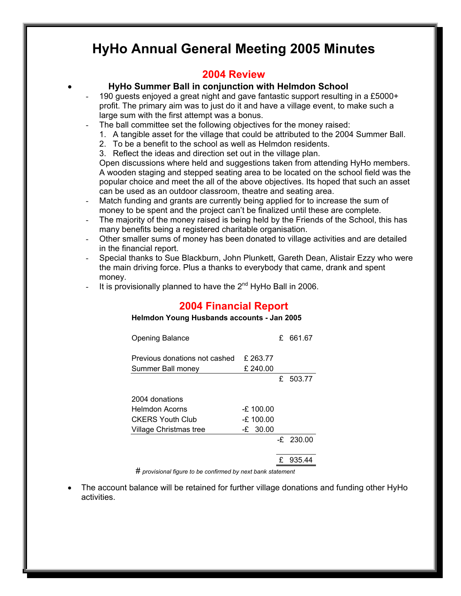# **HyHo Annual General Meeting 2005 Minutes**

## **2004 Review**

#### • **HyHo Summer Ball in conjunction with Helmdon School**

- 190 guests enjoyed a great night and gave fantastic support resulting in a £5000+ profit. The primary aim was to just do it and have a village event, to make such a large sum with the first attempt was a bonus.

- The ball committee set the following objectives for the money raised:
	- 1. A tangible asset for the village that could be attributed to the 2004 Summer Ball.
	- 2. To be a benefit to the school as well as Helmdon residents.
	- 3. Reflect the ideas and direction set out in the village plan.

Open discussions where held and suggestions taken from attending HyHo members. A wooden staging and stepped seating area to be located on the school field was the popular choice and meet the all of the above objectives. Its hoped that such an asset can be used as an outdoor classroom, theatre and seating area.

- Match funding and grants are currently being applied for to increase the sum of money to be spent and the project can't be finalized until these are complete.
- The majority of the money raised is being held by the Friends of the School, this has many benefits being a registered charitable organisation.
- Other smaller sums of money has been donated to village activities and are detailed in the financial report.
- Special thanks to Sue Blackburn, John Plunkett, Gareth Dean, Alistair Ezzy who were the main driving force. Plus a thanks to everybody that came, drank and spent money.
- It is provisionally planned to have the  $2^{nd}$  HyHo Ball in 2006.

# **2004 Financial Report**

#### **Helmdon Young Husbands accounts - Jan 2005**

| <b>Opening Balance</b>        |             |   | £ 661.67    |
|-------------------------------|-------------|---|-------------|
| Previous donations not cashed | £263.77     |   |             |
| Summer Ball money             | £ 240.00    |   |             |
|                               |             |   | £ 503.77    |
| 2004 donations                |             |   |             |
| Helmdon Acorns                | $-E$ 100.00 |   |             |
| <b>CKERS Youth Club</b>       | $-F 100.00$ |   |             |
| Village Christmas tree        | $-E$ 30.00  |   |             |
|                               |             |   | $-E$ 230.00 |
|                               |             | £ | 935.44      |

*# provisional figure to be confirmed by next bank statement* 

• The account balance will be retained for further village donations and funding other HyHo activities.